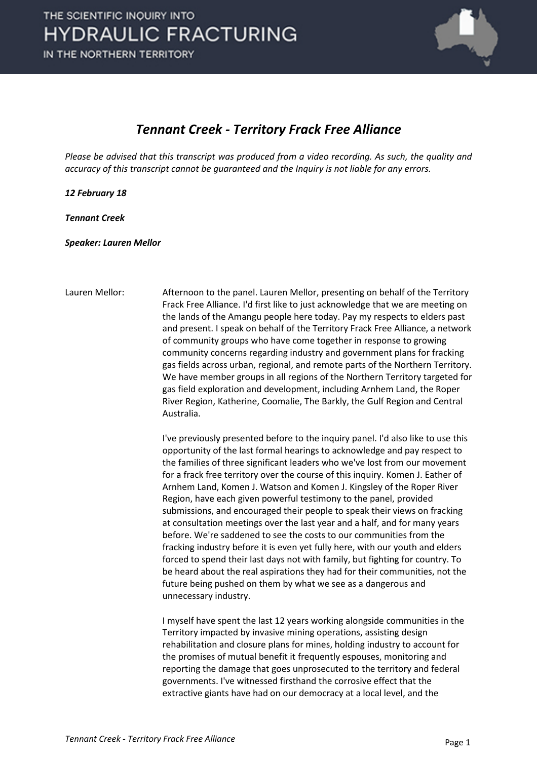

#### *Tennant Creek - Territory Frack Free Alliance*

*Please be advised that this transcript was produced from a video recording. As such, the quality and accuracy of this transcript cannot be guaranteed and the Inquiry is not liable for any errors.*

*12 February 18*

*Tennant Creek*

*Speaker: Lauren Mellor*

Lauren Mellor: Afternoon to the panel. Lauren Mellor, presenting on behalf of the Territory Frack Free Alliance. I'd first like to just acknowledge that we are meeting on the lands of the Amangu people here today. Pay my respects to elders past and present. I speak on behalf of the Territory Frack Free Alliance, a network of community groups who have come together in response to growing community concerns regarding industry and government plans for fracking gas fields across urban, regional, and remote parts of the Northern Territory. We have member groups in all regions of the Northern Territory targeted for gas field exploration and development, including Arnhem Land, the Roper River Region, Katherine, Coomalie, The Barkly, the Gulf Region and Central Australia.

> I've previously presented before to the inquiry panel. I'd also like to use this opportunity of the last formal hearings to acknowledge and pay respect to the families of three significant leaders who we've lost from our movement for a frack free territory over the course of this inquiry. Komen J. Eather of Arnhem Land, Komen J. Watson and Komen J. Kingsley of the Roper River Region, have each given powerful testimony to the panel, provided submissions, and encouraged their people to speak their views on fracking at consultation meetings over the last year and a half, and for many years before. We're saddened to see the costs to our communities from the fracking industry before it is even yet fully here, with our youth and elders forced to spend their last days not with family, but fighting for country. To be heard about the real aspirations they had for their communities, not the future being pushed on them by what we see as a dangerous and unnecessary industry.

I myself have spent the last 12 years working alongside communities in the Territory impacted by invasive mining operations, assisting design rehabilitation and closure plans for mines, holding industry to account for the promises of mutual benefit it frequently espouses, monitoring and reporting the damage that goes unprosecuted to the territory and federal governments. I've witnessed firsthand the corrosive effect that the extractive giants have had on our democracy at a local level, and the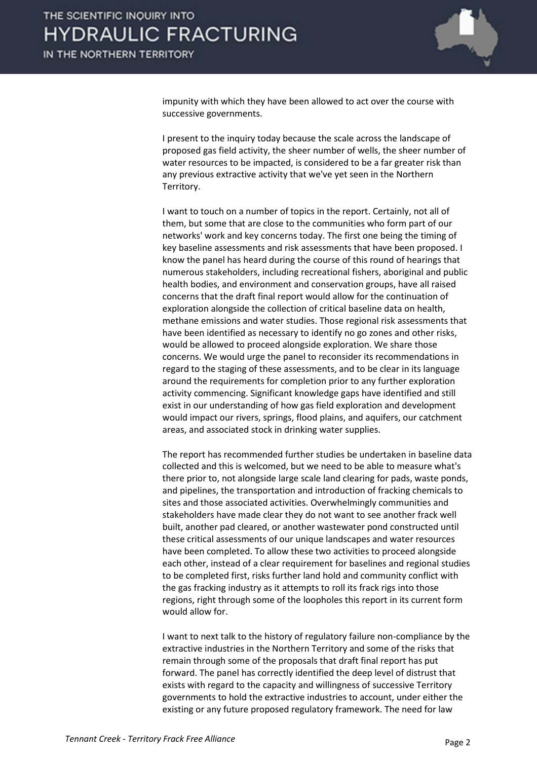

impunity with which they have been allowed to act over the course with successive governments.

I present to the inquiry today because the scale across the landscape of proposed gas field activity, the sheer number of wells, the sheer number of water resources to be impacted, is considered to be a far greater risk than any previous extractive activity that we've yet seen in the Northern Territory.

I want to touch on a number of topics in the report. Certainly, not all of them, but some that are close to the communities who form part of our networks' work and key concerns today. The first one being the timing of key baseline assessments and risk assessments that have been proposed. I know the panel has heard during the course of this round of hearings that numerous stakeholders, including recreational fishers, aboriginal and public health bodies, and environment and conservation groups, have all raised concerns that the draft final report would allow for the continuation of exploration alongside the collection of critical baseline data on health, methane emissions and water studies. Those regional risk assessments that have been identified as necessary to identify no go zones and other risks, would be allowed to proceed alongside exploration. We share those concerns. We would urge the panel to reconsider its recommendations in regard to the staging of these assessments, and to be clear in its language around the requirements for completion prior to any further exploration activity commencing. Significant knowledge gaps have identified and still exist in our understanding of how gas field exploration and development would impact our rivers, springs, flood plains, and aquifers, our catchment areas, and associated stock in drinking water supplies.

The report has recommended further studies be undertaken in baseline data collected and this is welcomed, but we need to be able to measure what's there prior to, not alongside large scale land clearing for pads, waste ponds, and pipelines, the transportation and introduction of fracking chemicals to sites and those associated activities. Overwhelmingly communities and stakeholders have made clear they do not want to see another frack well built, another pad cleared, or another wastewater pond constructed until these critical assessments of our unique landscapes and water resources have been completed. To allow these two activities to proceed alongside each other, instead of a clear requirement for baselines and regional studies to be completed first, risks further land hold and community conflict with the gas fracking industry as it attempts to roll its frack rigs into those regions, right through some of the loopholes this report in its current form would allow for.

I want to next talk to the history of regulatory failure non-compliance by the extractive industries in the Northern Territory and some of the risks that remain through some of the proposals that draft final report has put forward. The panel has correctly identified the deep level of distrust that exists with regard to the capacity and willingness of successive Territory governments to hold the extractive industries to account, under either the existing or any future proposed regulatory framework. The need for law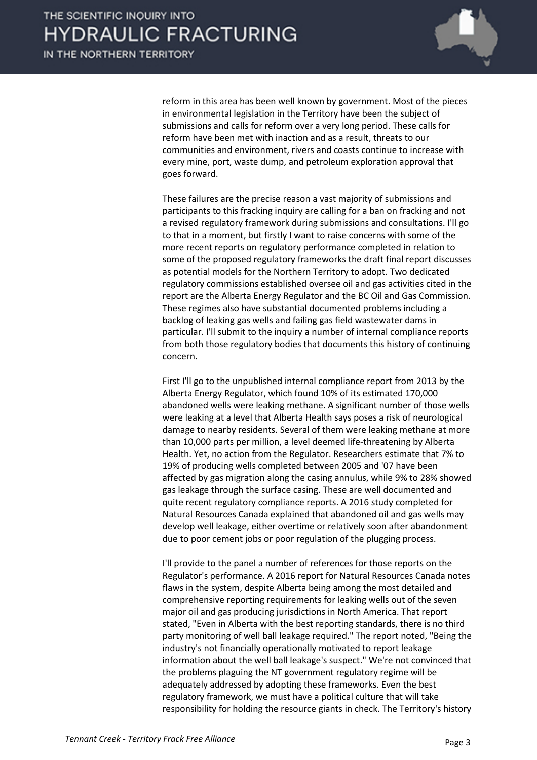

reform in this area has been well known by government. Most of the pieces in environmental legislation in the Territory have been the subject of submissions and calls for reform over a very long period. These calls for reform have been met with inaction and as a result, threats to our communities and environment, rivers and coasts continue to increase with every mine, port, waste dump, and petroleum exploration approval that goes forward.

These failures are the precise reason a vast majority of submissions and participants to this fracking inquiry are calling for a ban on fracking and not a revised regulatory framework during submissions and consultations. I'll go to that in a moment, but firstly I want to raise concerns with some of the more recent reports on regulatory performance completed in relation to some of the proposed regulatory frameworks the draft final report discusses as potential models for the Northern Territory to adopt. Two dedicated regulatory commissions established oversee oil and gas activities cited in the report are the Alberta Energy Regulator and the BC Oil and Gas Commission. These regimes also have substantial documented problems including a backlog of leaking gas wells and failing gas field wastewater dams in particular. I'll submit to the inquiry a number of internal compliance reports from both those regulatory bodies that documents this history of continuing concern.

First I'll go to the unpublished internal compliance report from 2013 by the Alberta Energy Regulator, which found 10% of its estimated 170,000 abandoned wells were leaking methane. A significant number of those wells were leaking at a level that Alberta Health says poses a risk of neurological damage to nearby residents. Several of them were leaking methane at more than 10,000 parts per million, a level deemed life-threatening by Alberta Health. Yet, no action from the Regulator. Researchers estimate that 7% to 19% of producing wells completed between 2005 and '07 have been affected by gas migration along the casing annulus, while 9% to 28% showed gas leakage through the surface casing. These are well documented and quite recent regulatory compliance reports. A 2016 study completed for Natural Resources Canada explained that abandoned oil and gas wells may develop well leakage, either overtime or relatively soon after abandonment due to poor cement jobs or poor regulation of the plugging process.

I'll provide to the panel a number of references for those reports on the Regulator's performance. A 2016 report for Natural Resources Canada notes flaws in the system, despite Alberta being among the most detailed and comprehensive reporting requirements for leaking wells out of the seven major oil and gas producing jurisdictions in North America. That report stated, "Even in Alberta with the best reporting standards, there is no third party monitoring of well ball leakage required." The report noted, "Being the industry's not financially operationally motivated to report leakage information about the well ball leakage's suspect." We're not convinced that the problems plaguing the NT government regulatory regime will be adequately addressed by adopting these frameworks. Even the best regulatory framework, we must have a political culture that will take responsibility for holding the resource giants in check. The Territory's history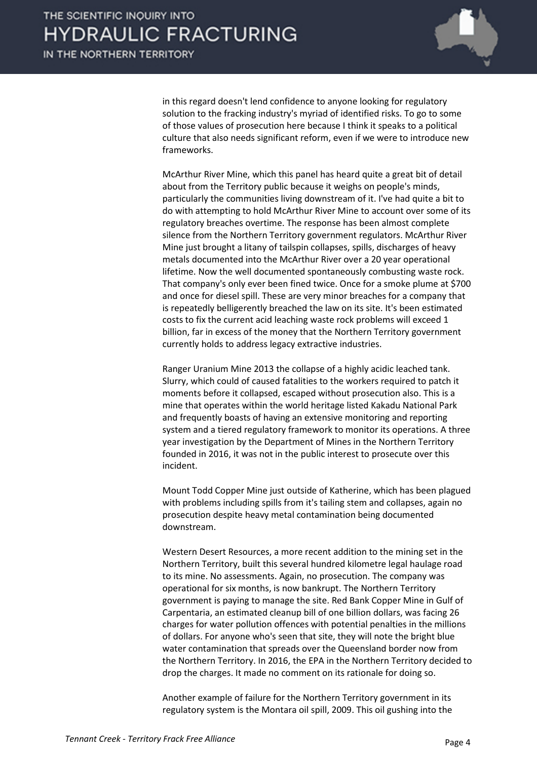

in this regard doesn't lend confidence to anyone looking for regulatory solution to the fracking industry's myriad of identified risks. To go to some of those values of prosecution here because I think it speaks to a political culture that also needs significant reform, even if we were to introduce new frameworks.

McArthur River Mine, which this panel has heard quite a great bit of detail about from the Territory public because it weighs on people's minds, particularly the communities living downstream of it. I've had quite a bit to do with attempting to hold McArthur River Mine to account over some of its regulatory breaches overtime. The response has been almost complete silence from the Northern Territory government regulators. McArthur River Mine just brought a litany of tailspin collapses, spills, discharges of heavy metals documented into the McArthur River over a 20 year operational lifetime. Now the well documented spontaneously combusting waste rock. That company's only ever been fined twice. Once for a smoke plume at \$700 and once for diesel spill. These are very minor breaches for a company that is repeatedly belligerently breached the law on its site. It's been estimated costs to fix the current acid leaching waste rock problems will exceed 1 billion, far in excess of the money that the Northern Territory government currently holds to address legacy extractive industries.

Ranger Uranium Mine 2013 the collapse of a highly acidic leached tank. Slurry, which could of caused fatalities to the workers required to patch it moments before it collapsed, escaped without prosecution also. This is a mine that operates within the world heritage listed Kakadu National Park and frequently boasts of having an extensive monitoring and reporting system and a tiered regulatory framework to monitor its operations. A three year investigation by the Department of Mines in the Northern Territory founded in 2016, it was not in the public interest to prosecute over this incident.

Mount Todd Copper Mine just outside of Katherine, which has been plagued with problems including spills from it's tailing stem and collapses, again no prosecution despite heavy metal contamination being documented downstream.

Western Desert Resources, a more recent addition to the mining set in the Northern Territory, built this several hundred kilometre legal haulage road to its mine. No assessments. Again, no prosecution. The company was operational for six months, is now bankrupt. The Northern Territory government is paying to manage the site. Red Bank Copper Mine in Gulf of Carpentaria, an estimated cleanup bill of one billion dollars, was facing 26 charges for water pollution offences with potential penalties in the millions of dollars. For anyone who's seen that site, they will note the bright blue water contamination that spreads over the Queensland border now from the Northern Territory. In 2016, the EPA in the Northern Territory decided to drop the charges. It made no comment on its rationale for doing so.

Another example of failure for the Northern Territory government in its regulatory system is the Montara oil spill, 2009. This oil gushing into the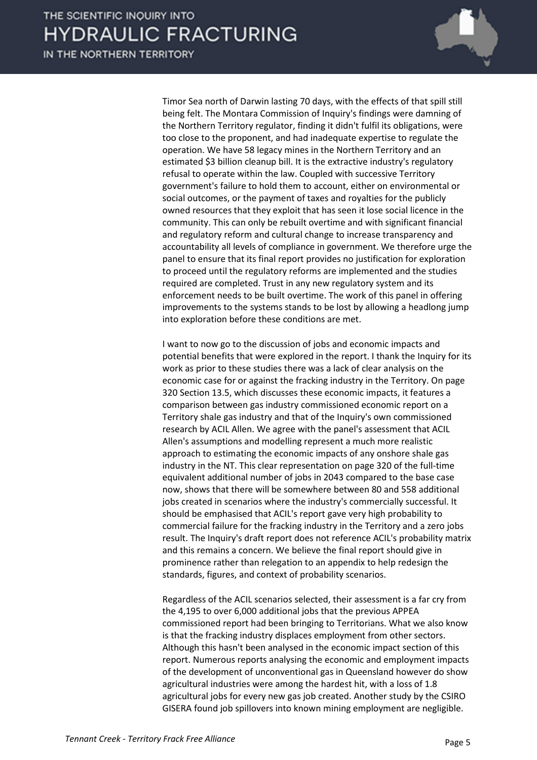IN THE NORTHERN TERRITORY



Timor Sea north of Darwin lasting 70 days, with the effects of that spill still being felt. The Montara Commission of Inquiry's findings were damning of the Northern Territory regulator, finding it didn't fulfil its obligations, were too close to the proponent, and had inadequate expertise to regulate the operation. We have 58 legacy mines in the Northern Territory and an estimated \$3 billion cleanup bill. It is the extractive industry's regulatory refusal to operate within the law. Coupled with successive Territory government's failure to hold them to account, either on environmental or social outcomes, or the payment of taxes and royalties for the publicly owned resources that they exploit that has seen it lose social licence in the community. This can only be rebuilt overtime and with significant financial and regulatory reform and cultural change to increase transparency and accountability all levels of compliance in government. We therefore urge the panel to ensure that its final report provides no justification for exploration to proceed until the regulatory reforms are implemented and the studies required are completed. Trust in any new regulatory system and its enforcement needs to be built overtime. The work of this panel in offering improvements to the systems stands to be lost by allowing a headlong jump into exploration before these conditions are met.

I want to now go to the discussion of jobs and economic impacts and potential benefits that were explored in the report. I thank the Inquiry for its work as prior to these studies there was a lack of clear analysis on the economic case for or against the fracking industry in the Territory. On page 320 Section 13.5, which discusses these economic impacts, it features a comparison between gas industry commissioned economic report on a Territory shale gas industry and that of the Inquiry's own commissioned research by ACIL Allen. We agree with the panel's assessment that ACIL Allen's assumptions and modelling represent a much more realistic approach to estimating the economic impacts of any onshore shale gas industry in the NT. This clear representation on page 320 of the full-time equivalent additional number of jobs in 2043 compared to the base case now, shows that there will be somewhere between 80 and 558 additional jobs created in scenarios where the industry's commercially successful. It should be emphasised that ACIL's report gave very high probability to commercial failure for the fracking industry in the Territory and a zero jobs result. The Inquiry's draft report does not reference ACIL's probability matrix and this remains a concern. We believe the final report should give in prominence rather than relegation to an appendix to help redesign the standards, figures, and context of probability scenarios.

Regardless of the ACIL scenarios selected, their assessment is a far cry from the 4,195 to over 6,000 additional jobs that the previous APPEA commissioned report had been bringing to Territorians. What we also know is that the fracking industry displaces employment from other sectors. Although this hasn't been analysed in the economic impact section of this report. Numerous reports analysing the economic and employment impacts of the development of unconventional gas in Queensland however do show agricultural industries were among the hardest hit, with a loss of 1.8 agricultural jobs for every new gas job created. Another study by the CSIRO GISERA found job spillovers into known mining employment are negligible.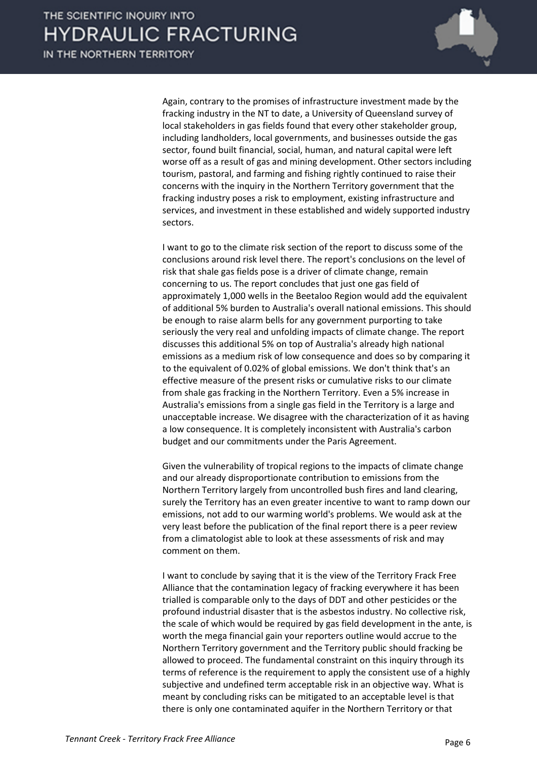

Again, contrary to the promises of infrastructure investment made by the fracking industry in the NT to date, a University of Queensland survey of local stakeholders in gas fields found that every other stakeholder group, including landholders, local governments, and businesses outside the gas sector, found built financial, social, human, and natural capital were left worse off as a result of gas and mining development. Other sectors including tourism, pastoral, and farming and fishing rightly continued to raise their concerns with the inquiry in the Northern Territory government that the fracking industry poses a risk to employment, existing infrastructure and services, and investment in these established and widely supported industry sectors.

I want to go to the climate risk section of the report to discuss some of the conclusions around risk level there. The report's conclusions on the level of risk that shale gas fields pose is a driver of climate change, remain concerning to us. The report concludes that just one gas field of approximately 1,000 wells in the Beetaloo Region would add the equivalent of additional 5% burden to Australia's overall national emissions. This should be enough to raise alarm bells for any government purporting to take seriously the very real and unfolding impacts of climate change. The report discusses this additional 5% on top of Australia's already high national emissions as a medium risk of low consequence and does so by comparing it to the equivalent of 0.02% of global emissions. We don't think that's an effective measure of the present risks or cumulative risks to our climate from shale gas fracking in the Northern Territory. Even a 5% increase in Australia's emissions from a single gas field in the Territory is a large and unacceptable increase. We disagree with the characterization of it as having a low consequence. It is completely inconsistent with Australia's carbon budget and our commitments under the Paris Agreement.

Given the vulnerability of tropical regions to the impacts of climate change and our already disproportionate contribution to emissions from the Northern Territory largely from uncontrolled bush fires and land clearing, surely the Territory has an even greater incentive to want to ramp down our emissions, not add to our warming world's problems. We would ask at the very least before the publication of the final report there is a peer review from a climatologist able to look at these assessments of risk and may comment on them.

I want to conclude by saying that it is the view of the Territory Frack Free Alliance that the contamination legacy of fracking everywhere it has been trialled is comparable only to the days of DDT and other pesticides or the profound industrial disaster that is the asbestos industry. No collective risk, the scale of which would be required by gas field development in the ante, is worth the mega financial gain your reporters outline would accrue to the Northern Territory government and the Territory public should fracking be allowed to proceed. The fundamental constraint on this inquiry through its terms of reference is the requirement to apply the consistent use of a highly subjective and undefined term acceptable risk in an objective way. What is meant by concluding risks can be mitigated to an acceptable level is that there is only one contaminated aquifer in the Northern Territory or that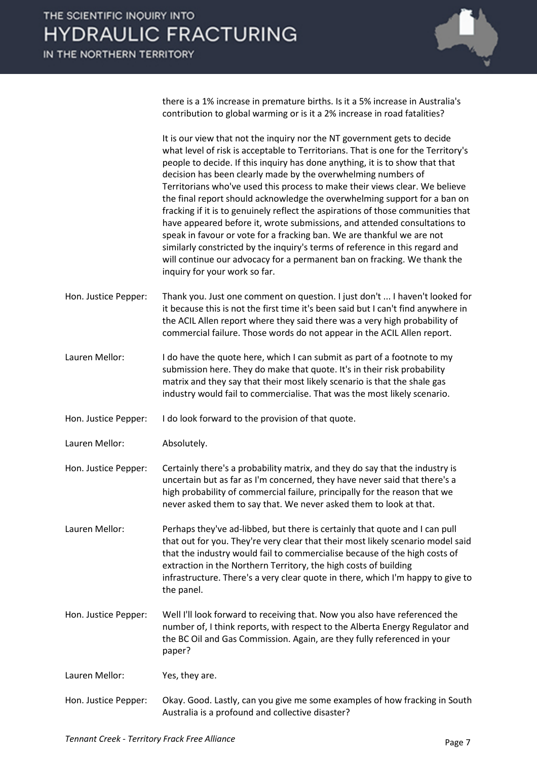there is a 1% increase in premature births. Is it a 5% increase in Australia's contribution to global warming or is it a 2% increase in road fatalities?

It is our view that not the inquiry nor the NT government gets to decide what level of risk is acceptable to Territorians. That is one for the Territory's people to decide. If this inquiry has done anything, it is to show that that decision has been clearly made by the overwhelming numbers of Territorians who've used this process to make their views clear. We believe the final report should acknowledge the overwhelming support for a ban on fracking if it is to genuinely reflect the aspirations of those communities that have appeared before it, wrote submissions, and attended consultations to speak in favour or vote for a fracking ban. We are thankful we are not similarly constricted by the inquiry's terms of reference in this regard and will continue our advocacy for a permanent ban on fracking. We thank the inquiry for your work so far.

Hon. Justice Pepper: Thank you. Just one comment on question. I just don't ... I haven't looked for it because this is not the first time it's been said but I can't find anywhere in the ACIL Allen report where they said there was a very high probability of commercial failure. Those words do not appear in the ACIL Allen report.

Lauren Mellor: I do have the quote here, which I can submit as part of a footnote to my submission here. They do make that quote. It's in their risk probability matrix and they say that their most likely scenario is that the shale gas industry would fail to commercialise. That was the most likely scenario.

Hon. Justice Pepper: I do look forward to the provision of that quote.

Lauren Mellor: Absolutely.

Hon. Justice Pepper: Certainly there's a probability matrix, and they do say that the industry is uncertain but as far as I'm concerned, they have never said that there's a high probability of commercial failure, principally for the reason that we never asked them to say that. We never asked them to look at that.

Lauren Mellor: Perhaps they've ad-libbed, but there is certainly that quote and I can pull that out for you. They're very clear that their most likely scenario model said that the industry would fail to commercialise because of the high costs of extraction in the Northern Territory, the high costs of building infrastructure. There's a very clear quote in there, which I'm happy to give to the panel.

Hon. Justice Pepper: Well I'll look forward to receiving that. Now you also have referenced the number of, I think reports, with respect to the Alberta Energy Regulator and the BC Oil and Gas Commission. Again, are they fully referenced in your paper?

Lauren Mellor: Yes, they are.

Hon. Justice Pepper: Okay. Good. Lastly, can you give me some examples of how fracking in South Australia is a profound and collective disaster?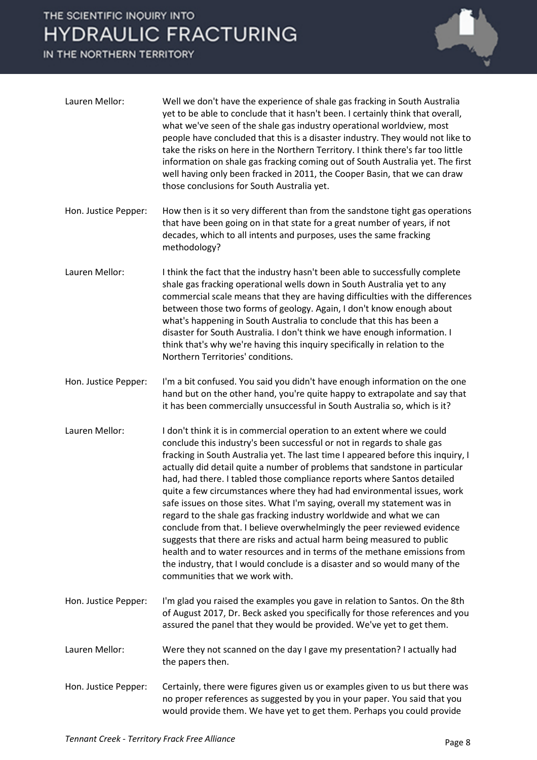IN THE NORTHERN TERRITORY



| Lauren Mellor:       | Well we don't have the experience of shale gas fracking in South Australia<br>yet to be able to conclude that it hasn't been. I certainly think that overall,<br>what we've seen of the shale gas industry operational worldview, most<br>people have concluded that this is a disaster industry. They would not like to<br>take the risks on here in the Northern Territory. I think there's far too little<br>information on shale gas fracking coming out of South Australia yet. The first<br>well having only been fracked in 2011, the Cooper Basin, that we can draw<br>those conclusions for South Australia yet.                                                                                                                                                                                                                                                                                                                                                       |
|----------------------|---------------------------------------------------------------------------------------------------------------------------------------------------------------------------------------------------------------------------------------------------------------------------------------------------------------------------------------------------------------------------------------------------------------------------------------------------------------------------------------------------------------------------------------------------------------------------------------------------------------------------------------------------------------------------------------------------------------------------------------------------------------------------------------------------------------------------------------------------------------------------------------------------------------------------------------------------------------------------------|
| Hon. Justice Pepper: | How then is it so very different than from the sandstone tight gas operations<br>that have been going on in that state for a great number of years, if not<br>decades, which to all intents and purposes, uses the same fracking<br>methodology?                                                                                                                                                                                                                                                                                                                                                                                                                                                                                                                                                                                                                                                                                                                                |
| Lauren Mellor:       | I think the fact that the industry hasn't been able to successfully complete<br>shale gas fracking operational wells down in South Australia yet to any<br>commercial scale means that they are having difficulties with the differences<br>between those two forms of geology. Again, I don't know enough about<br>what's happening in South Australia to conclude that this has been a<br>disaster for South Australia. I don't think we have enough information. I<br>think that's why we're having this inquiry specifically in relation to the<br>Northern Territories' conditions.                                                                                                                                                                                                                                                                                                                                                                                        |
| Hon. Justice Pepper: | I'm a bit confused. You said you didn't have enough information on the one<br>hand but on the other hand, you're quite happy to extrapolate and say that<br>it has been commercially unsuccessful in South Australia so, which is it?                                                                                                                                                                                                                                                                                                                                                                                                                                                                                                                                                                                                                                                                                                                                           |
| Lauren Mellor:       | I don't think it is in commercial operation to an extent where we could<br>conclude this industry's been successful or not in regards to shale gas<br>fracking in South Australia yet. The last time I appeared before this inquiry, I<br>actually did detail quite a number of problems that sandstone in particular<br>had, had there. I tabled those compliance reports where Santos detailed<br>quite a few circumstances where they had had environmental issues, work<br>safe issues on those sites. What I'm saying, overall my statement was in<br>regard to the shale gas fracking industry worldwide and what we can<br>conclude from that. I believe overwhelmingly the peer reviewed evidence<br>suggests that there are risks and actual harm being measured to public<br>health and to water resources and in terms of the methane emissions from<br>the industry, that I would conclude is a disaster and so would many of the<br>communities that we work with. |
| Hon. Justice Pepper: | I'm glad you raised the examples you gave in relation to Santos. On the 8th<br>of August 2017, Dr. Beck asked you specifically for those references and you<br>assured the panel that they would be provided. We've yet to get them.                                                                                                                                                                                                                                                                                                                                                                                                                                                                                                                                                                                                                                                                                                                                            |
| Lauren Mellor:       | Were they not scanned on the day I gave my presentation? I actually had<br>the papers then.                                                                                                                                                                                                                                                                                                                                                                                                                                                                                                                                                                                                                                                                                                                                                                                                                                                                                     |
| Hon. Justice Pepper: | Certainly, there were figures given us or examples given to us but there was<br>no proper references as suggested by you in your paper. You said that you<br>would provide them. We have yet to get them. Perhaps you could provide                                                                                                                                                                                                                                                                                                                                                                                                                                                                                                                                                                                                                                                                                                                                             |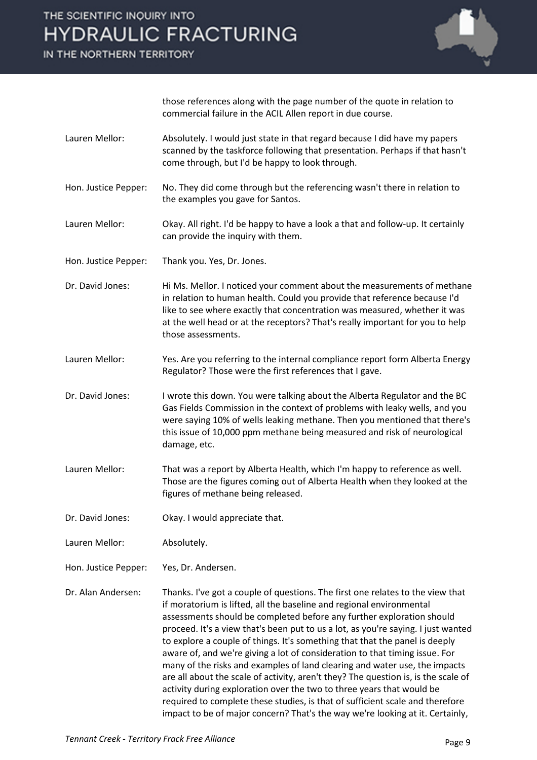IN THE NORTHERN TERRITORY



those references along with the page number of the quote in relation to commercial failure in the ACIL Allen report in due course.

- Lauren Mellor: Absolutely. I would just state in that regard because I did have my papers scanned by the taskforce following that presentation. Perhaps if that hasn't come through, but I'd be happy to look through.
- Hon. Justice Pepper: No. They did come through but the referencing wasn't there in relation to the examples you gave for Santos.
- Lauren Mellor: Okay. All right. I'd be happy to have a look a that and follow-up. It certainly can provide the inquiry with them.
- Hon. Justice Pepper: Thank you. Yes, Dr. Jones.
- Dr. David Jones: Hi Ms. Mellor. I noticed your comment about the measurements of methane in relation to human health. Could you provide that reference because I'd like to see where exactly that concentration was measured, whether it was at the well head or at the receptors? That's really important for you to help those assessments.
- Lauren Mellor: Yes. Are you referring to the internal compliance report form Alberta Energy Regulator? Those were the first references that I gave.
- Dr. David Jones: I wrote this down. You were talking about the Alberta Regulator and the BC Gas Fields Commission in the context of problems with leaky wells, and you were saying 10% of wells leaking methane. Then you mentioned that there's this issue of 10,000 ppm methane being measured and risk of neurological damage, etc.
- Lauren Mellor: That was a report by Alberta Health, which I'm happy to reference as well. Those are the figures coming out of Alberta Health when they looked at the figures of methane being released.
- Dr. David Jones: Okay. I would appreciate that.
- Lauren Mellor: Absolutely.
- Hon. Justice Pepper: Yes, Dr. Andersen.
- Dr. Alan Andersen: Thanks. I've got a couple of questions. The first one relates to the view that if moratorium is lifted, all the baseline and regional environmental assessments should be completed before any further exploration should proceed. It's a view that's been put to us a lot, as you're saying. I just wanted to explore a couple of things. It's something that that the panel is deeply aware of, and we're giving a lot of consideration to that timing issue. For many of the risks and examples of land clearing and water use, the impacts are all about the scale of activity, aren't they? The question is, is the scale of activity during exploration over the two to three years that would be required to complete these studies, is that of sufficient scale and therefore impact to be of major concern? That's the way we're looking at it. Certainly,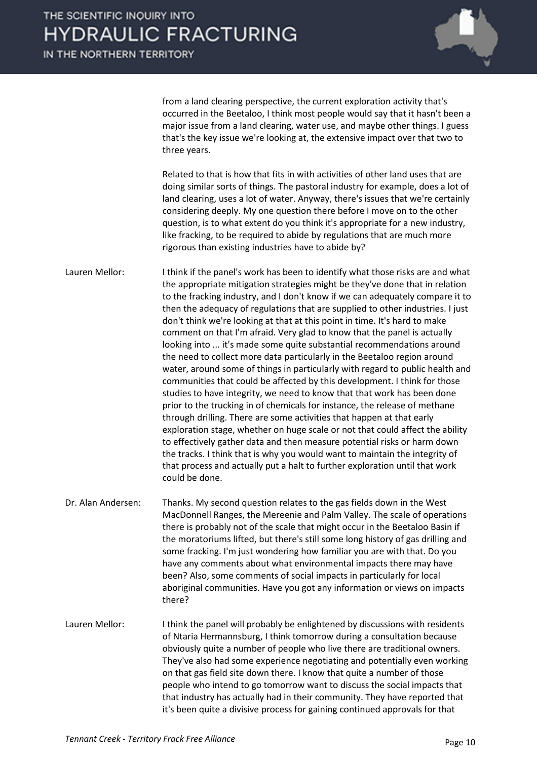IN THE NORTHERN TERRITORY



from a land clearing perspective, the current exploration activity that's occurred in the Beetaloo, I think most people would say that it hasn't been a major issue from a land clearing, water use, and maybe other things. I guess that's the key issue we're looking at, the extensive impact over that two to three years.

Related to that is how that fits in with activities of other land uses that are doing similar sorts of things. The pastoral industry for example, does a lot of land clearing, uses a lot of water. Anyway, there's issues that we're certainly considering deeply. My one question there before I move on to the other question, is to what extent do you think it's appropriate for a new industry, like fracking, to be required to abide by regulations that are much more rigorous than existing industries have to abide by?

Lauren Mellor: I think if the panel's work has been to identify what those risks are and what the appropriate mitigation strategies might be they've done that in relation to the fracking industry, and I don't know if we can adequately compare it to then the adequacy of regulations that are supplied to other industries. I just don't think we're looking at that at this point in time. It's hard to make comment on that I'm afraid. Very glad to know that the panel is actually looking into ... it's made some quite substantial recommendations around the need to collect more data particularly in the Beetaloo region around water, around some of things in particularly with regard to public health and communities that could be affected by this development. I think for those studies to have integrity, we need to know that that work has been done prior to the trucking in of chemicals for instance, the release of methane through drilling. There are some activities that happen at that early exploration stage, whether on huge scale or not that could affect the ability to effectively gather data and then measure potential risks or harm down the tracks. I think that is why you would want to maintain the integrity of that process and actually put a halt to further exploration until that work could be done.

Dr. Alan Andersen: Thanks. My second question relates to the gas fields down in the West MacDonnell Ranges, the Mereenie and Palm Valley. The scale of operations there is probably not of the scale that might occur in the Beetaloo Basin if the moratoriums lifted, but there's still some long history of gas drilling and some fracking. I'm just wondering how familiar you are with that. Do you have any comments about what environmental impacts there may have been? Also, some comments of social impacts in particularly for local aboriginal communities. Have you got any information or views on impacts there?

Lauren Mellor: I think the panel will probably be enlightened by discussions with residents of Ntaria Hermannsburg, I think tomorrow during a consultation because obviously quite a number of people who live there are traditional owners. They've also had some experience negotiating and potentially even working on that gas field site down there. I know that quite a number of those people who intend to go tomorrow want to discuss the social impacts that that industry has actually had in their community. They have reported that it's been quite a divisive process for gaining continued approvals for that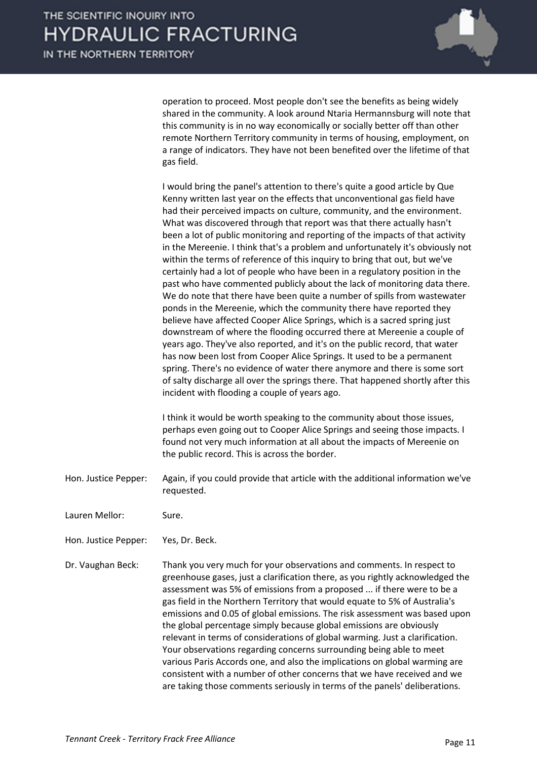operation to proceed. Most people don't see the benefits as being widely shared in the community. A look around Ntaria Hermannsburg will note that this community is in no way economically or socially better off than other remote Northern Territory community in terms of housing, employment, on a range of indicators. They have not been benefited over the lifetime of that gas field.

I would bring the panel's attention to there's quite a good article by Que Kenny written last year on the effects that unconventional gas field have had their perceived impacts on culture, community, and the environment. What was discovered through that report was that there actually hasn't been a lot of public monitoring and reporting of the impacts of that activity in the Mereenie. I think that's a problem and unfortunately it's obviously not within the terms of reference of this inquiry to bring that out, but we've certainly had a lot of people who have been in a regulatory position in the past who have commented publicly about the lack of monitoring data there. We do note that there have been quite a number of spills from wastewater ponds in the Mereenie, which the community there have reported they believe have affected Cooper Alice Springs, which is a sacred spring just downstream of where the flooding occurred there at Mereenie a couple of years ago. They've also reported, and it's on the public record, that water has now been lost from Cooper Alice Springs. It used to be a permanent spring. There's no evidence of water there anymore and there is some sort of salty discharge all over the springs there. That happened shortly after this incident with flooding a couple of years ago.

I think it would be worth speaking to the community about those issues, perhaps even going out to Cooper Alice Springs and seeing those impacts. I found not very much information at all about the impacts of Mereenie on the public record. This is across the border.

Hon. Justice Pepper: Again, if you could provide that article with the additional information we've requested.

Lauren Mellor: Sure.

Hon. Justice Pepper: Yes, Dr. Beck.

Dr. Vaughan Beck: Thank you very much for your observations and comments. In respect to greenhouse gases, just a clarification there, as you rightly acknowledged the assessment was 5% of emissions from a proposed ... if there were to be a gas field in the Northern Territory that would equate to 5% of Australia's emissions and 0.05 of global emissions. The risk assessment was based upon the global percentage simply because global emissions are obviously relevant in terms of considerations of global warming. Just a clarification. Your observations regarding concerns surrounding being able to meet various Paris Accords one, and also the implications on global warming are consistent with a number of other concerns that we have received and we are taking those comments seriously in terms of the panels' deliberations.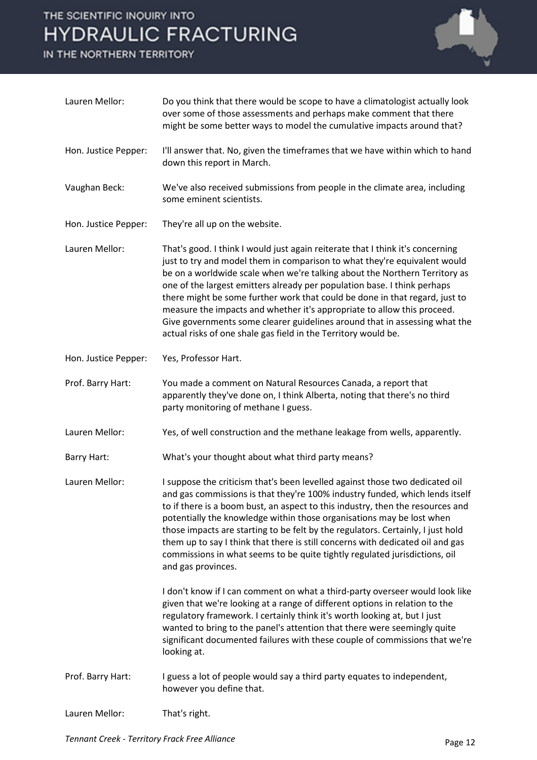IN THE NORTHERN TERRITORY



| Lauren Mellor:       | Do you think that there would be scope to have a climatologist actually look<br>over some of those assessments and perhaps make comment that there<br>might be some better ways to model the cumulative impacts around that?                                                                                                                                                                                                                                                                                                                                                                                                    |
|----------------------|---------------------------------------------------------------------------------------------------------------------------------------------------------------------------------------------------------------------------------------------------------------------------------------------------------------------------------------------------------------------------------------------------------------------------------------------------------------------------------------------------------------------------------------------------------------------------------------------------------------------------------|
| Hon. Justice Pepper: | I'll answer that. No, given the timeframes that we have within which to hand<br>down this report in March.                                                                                                                                                                                                                                                                                                                                                                                                                                                                                                                      |
| Vaughan Beck:        | We've also received submissions from people in the climate area, including<br>some eminent scientists.                                                                                                                                                                                                                                                                                                                                                                                                                                                                                                                          |
| Hon. Justice Pepper: | They're all up on the website.                                                                                                                                                                                                                                                                                                                                                                                                                                                                                                                                                                                                  |
| Lauren Mellor:       | That's good. I think I would just again reiterate that I think it's concerning<br>just to try and model them in comparison to what they're equivalent would<br>be on a worldwide scale when we're talking about the Northern Territory as<br>one of the largest emitters already per population base. I think perhaps<br>there might be some further work that could be done in that regard, just to<br>measure the impacts and whether it's appropriate to allow this proceed.<br>Give governments some clearer guidelines around that in assessing what the<br>actual risks of one shale gas field in the Territory would be. |
| Hon. Justice Pepper: | Yes, Professor Hart.                                                                                                                                                                                                                                                                                                                                                                                                                                                                                                                                                                                                            |
| Prof. Barry Hart:    | You made a comment on Natural Resources Canada, a report that<br>apparently they've done on, I think Alberta, noting that there's no third<br>party monitoring of methane I guess.                                                                                                                                                                                                                                                                                                                                                                                                                                              |
| Lauren Mellor:       | Yes, of well construction and the methane leakage from wells, apparently.                                                                                                                                                                                                                                                                                                                                                                                                                                                                                                                                                       |
| <b>Barry Hart:</b>   | What's your thought about what third party means?                                                                                                                                                                                                                                                                                                                                                                                                                                                                                                                                                                               |
| Lauren Mellor:       | I suppose the criticism that's been levelled against those two dedicated oil<br>and gas commissions is that they're 100% industry funded, which lends itself<br>to if there is a boom bust, an aspect to this industry, then the resources and<br>potentially the knowledge within those organisations may be lost when<br>those impacts are starting to be felt by the regulators. Certainly, I just hold<br>them up to say I think that there is still concerns with dedicated oil and gas<br>commissions in what seems to be quite tightly regulated jurisdictions, oil<br>and gas provinces.                                |
|                      | I don't know if I can comment on what a third-party overseer would look like<br>given that we're looking at a range of different options in relation to the<br>regulatory framework. I certainly think it's worth looking at, but I just<br>wanted to bring to the panel's attention that there were seemingly quite<br>significant documented failures with these couple of commissions that we're<br>looking at.                                                                                                                                                                                                              |
| Prof. Barry Hart:    | I guess a lot of people would say a third party equates to independent,<br>however you define that.                                                                                                                                                                                                                                                                                                                                                                                                                                                                                                                             |
| Lauren Mellor:       | That's right.                                                                                                                                                                                                                                                                                                                                                                                                                                                                                                                                                                                                                   |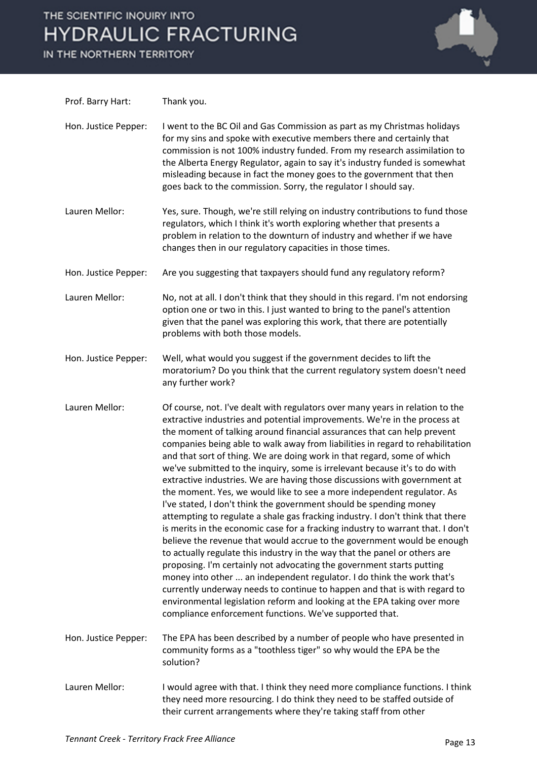IN THE NORTHERN TERRITORY



| Prof. Barry Hart:    | Thank you.                                                                                                                                                                                                                                                                                                                                                                                                                                                                                                                                                                                                                                                                                                                                                                                                                                                                                                                                                                                                                                                                                                                                                                                                                                                                                                                                                                                                         |
|----------------------|--------------------------------------------------------------------------------------------------------------------------------------------------------------------------------------------------------------------------------------------------------------------------------------------------------------------------------------------------------------------------------------------------------------------------------------------------------------------------------------------------------------------------------------------------------------------------------------------------------------------------------------------------------------------------------------------------------------------------------------------------------------------------------------------------------------------------------------------------------------------------------------------------------------------------------------------------------------------------------------------------------------------------------------------------------------------------------------------------------------------------------------------------------------------------------------------------------------------------------------------------------------------------------------------------------------------------------------------------------------------------------------------------------------------|
| Hon. Justice Pepper: | I went to the BC Oil and Gas Commission as part as my Christmas holidays<br>for my sins and spoke with executive members there and certainly that<br>commission is not 100% industry funded. From my research assimilation to<br>the Alberta Energy Regulator, again to say it's industry funded is somewhat<br>misleading because in fact the money goes to the government that then<br>goes back to the commission. Sorry, the regulator I should say.                                                                                                                                                                                                                                                                                                                                                                                                                                                                                                                                                                                                                                                                                                                                                                                                                                                                                                                                                           |
| Lauren Mellor:       | Yes, sure. Though, we're still relying on industry contributions to fund those<br>regulators, which I think it's worth exploring whether that presents a<br>problem in relation to the downturn of industry and whether if we have<br>changes then in our regulatory capacities in those times.                                                                                                                                                                                                                                                                                                                                                                                                                                                                                                                                                                                                                                                                                                                                                                                                                                                                                                                                                                                                                                                                                                                    |
| Hon. Justice Pepper: | Are you suggesting that taxpayers should fund any regulatory reform?                                                                                                                                                                                                                                                                                                                                                                                                                                                                                                                                                                                                                                                                                                                                                                                                                                                                                                                                                                                                                                                                                                                                                                                                                                                                                                                                               |
| Lauren Mellor:       | No, not at all. I don't think that they should in this regard. I'm not endorsing<br>option one or two in this. I just wanted to bring to the panel's attention<br>given that the panel was exploring this work, that there are potentially<br>problems with both those models.                                                                                                                                                                                                                                                                                                                                                                                                                                                                                                                                                                                                                                                                                                                                                                                                                                                                                                                                                                                                                                                                                                                                     |
| Hon. Justice Pepper: | Well, what would you suggest if the government decides to lift the<br>moratorium? Do you think that the current regulatory system doesn't need<br>any further work?                                                                                                                                                                                                                                                                                                                                                                                                                                                                                                                                                                                                                                                                                                                                                                                                                                                                                                                                                                                                                                                                                                                                                                                                                                                |
| Lauren Mellor:       | Of course, not. I've dealt with regulators over many years in relation to the<br>extractive industries and potential improvements. We're in the process at<br>the moment of talking around financial assurances that can help prevent<br>companies being able to walk away from liabilities in regard to rehabilitation<br>and that sort of thing. We are doing work in that regard, some of which<br>we've submitted to the inquiry, some is irrelevant because it's to do with<br>extractive industries. We are having those discussions with government at<br>the moment. Yes, we would like to see a more independent regulator. As<br>I've stated, I don't think the government should be spending money<br>attempting to regulate a shale gas fracking industry. I don't think that there<br>is merits in the economic case for a fracking industry to warrant that. I don't<br>believe the revenue that would accrue to the government would be enough<br>to actually regulate this industry in the way that the panel or others are<br>proposing. I'm certainly not advocating the government starts putting<br>money into other  an independent regulator. I do think the work that's<br>currently underway needs to continue to happen and that is with regard to<br>environmental legislation reform and looking at the EPA taking over more<br>compliance enforcement functions. We've supported that. |
| Hon. Justice Pepper: | The EPA has been described by a number of people who have presented in<br>community forms as a "toothless tiger" so why would the EPA be the<br>solution?                                                                                                                                                                                                                                                                                                                                                                                                                                                                                                                                                                                                                                                                                                                                                                                                                                                                                                                                                                                                                                                                                                                                                                                                                                                          |
| Lauren Mellor:       | I would agree with that. I think they need more compliance functions. I think<br>they need more resourcing. I do think they need to be staffed outside of<br>their current arrangements where they're taking staff from other                                                                                                                                                                                                                                                                                                                                                                                                                                                                                                                                                                                                                                                                                                                                                                                                                                                                                                                                                                                                                                                                                                                                                                                      |